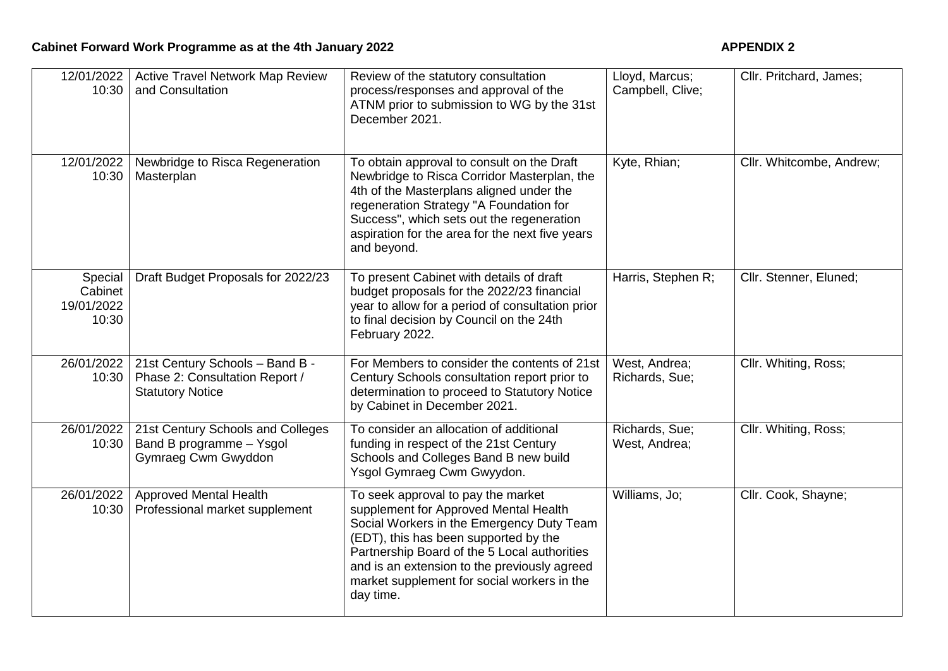| 12/01/2022<br>10:30                       | <b>Active Travel Network Map Review</b><br>and Consultation                                  | Review of the statutory consultation<br>process/responses and approval of the<br>ATNM prior to submission to WG by the 31st<br>December 2021.                                                                                                                                                                                 | Lloyd, Marcus;<br>Campbell, Clive; | Cllr. Pritchard, James;  |
|-------------------------------------------|----------------------------------------------------------------------------------------------|-------------------------------------------------------------------------------------------------------------------------------------------------------------------------------------------------------------------------------------------------------------------------------------------------------------------------------|------------------------------------|--------------------------|
| 12/01/2022<br>10:30                       | Newbridge to Risca Regeneration<br>Masterplan                                                | To obtain approval to consult on the Draft<br>Newbridge to Risca Corridor Masterplan, the<br>4th of the Masterplans aligned under the<br>regeneration Strategy "A Foundation for<br>Success", which sets out the regeneration<br>aspiration for the area for the next five years<br>and beyond.                               | Kyte, Rhian;                       | Cllr. Whitcombe, Andrew; |
| Special<br>Cabinet<br>19/01/2022<br>10:30 | Draft Budget Proposals for 2022/23                                                           | To present Cabinet with details of draft<br>budget proposals for the 2022/23 financial<br>year to allow for a period of consultation prior<br>to final decision by Council on the 24th<br>February 2022.                                                                                                                      | Harris, Stephen R;                 | Cllr. Stenner, Eluned;   |
| 26/01/2022<br>10:30                       | 21st Century Schools - Band B -<br>Phase 2: Consultation Report /<br><b>Statutory Notice</b> | For Members to consider the contents of 21st<br>Century Schools consultation report prior to<br>determination to proceed to Statutory Notice<br>by Cabinet in December 2021.                                                                                                                                                  | West, Andrea;<br>Richards, Sue;    | Cllr. Whiting, Ross;     |
| 26/01/2022<br>10:30                       | 21st Century Schools and Colleges<br>Band B programme - Ysgol<br>Gymraeg Cwm Gwyddon         | To consider an allocation of additional<br>funding in respect of the 21st Century<br>Schools and Colleges Band B new build<br>Ysgol Gymraeg Cwm Gwyydon.                                                                                                                                                                      | Richards, Sue;<br>West, Andrea;    | Cllr. Whiting, Ross;     |
| 26/01/2022<br>10:30                       | <b>Approved Mental Health</b><br>Professional market supplement                              | To seek approval to pay the market<br>supplement for Approved Mental Health<br>Social Workers in the Emergency Duty Team<br>(EDT), this has been supported by the<br>Partnership Board of the 5 Local authorities<br>and is an extension to the previously agreed<br>market supplement for social workers in the<br>day time. | Williams, Jo;                      | Cllr. Cook, Shayne;      |